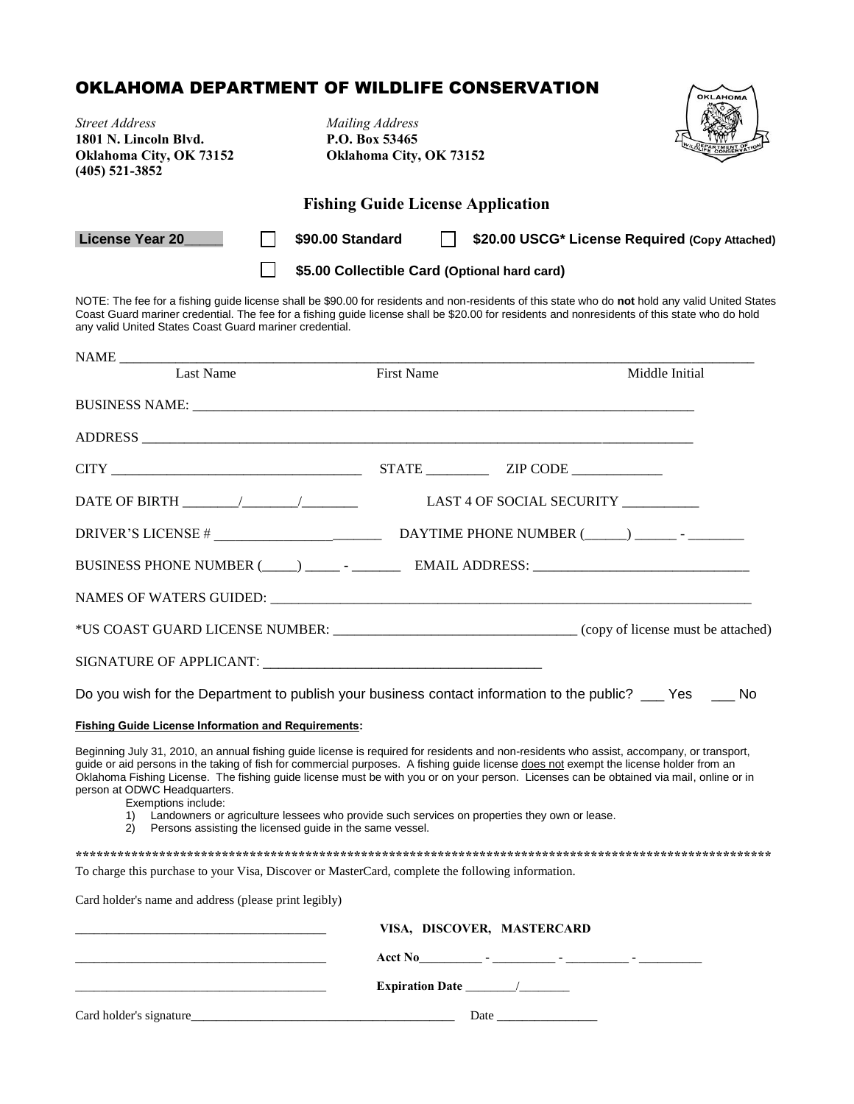## OKLAHOMA DEPARTMENT OF WILDLIFE CONSERVATION

| OKLAHOMA DEPARTMENT OF WILDLIFE CONSERVATION                                                                                                                                                                                                                                                                                                                                                                                                                                                                                                              |                                                                                                                                                             |                            | OKLAHOMA                                       |
|-----------------------------------------------------------------------------------------------------------------------------------------------------------------------------------------------------------------------------------------------------------------------------------------------------------------------------------------------------------------------------------------------------------------------------------------------------------------------------------------------------------------------------------------------------------|-------------------------------------------------------------------------------------------------------------------------------------------------------------|----------------------------|------------------------------------------------|
| <b>Street Address</b><br>1801 N. Lincoln Blvd.<br>Oklahoma City, OK 73152<br>$(405)$ 521-3852                                                                                                                                                                                                                                                                                                                                                                                                                                                             | <b>Mailing Address</b><br>P.O. Box 53465<br>Oklahoma City, OK 73152                                                                                         |                            |                                                |
|                                                                                                                                                                                                                                                                                                                                                                                                                                                                                                                                                           | <b>Fishing Guide License Application</b>                                                                                                                    |                            |                                                |
| License Year 20                                                                                                                                                                                                                                                                                                                                                                                                                                                                                                                                           | $\Box$<br>\$90.00 Standard                                                                                                                                  |                            | \$20.00 USCG* License Required (Copy Attached) |
|                                                                                                                                                                                                                                                                                                                                                                                                                                                                                                                                                           | \$5.00 Collectible Card (Optional hard card)                                                                                                                |                            |                                                |
| NOTE: The fee for a fishing guide license shall be \$90.00 for residents and non-residents of this state who do not hold any valid United States<br>Coast Guard mariner credential. The fee for a fishing guide license shall be \$20.00 for residents and nonresidents of this state who do hold<br>any valid United States Coast Guard mariner credential.                                                                                                                                                                                              |                                                                                                                                                             |                            |                                                |
| Last Name                                                                                                                                                                                                                                                                                                                                                                                                                                                                                                                                                 | <b>First Name</b>                                                                                                                                           |                            | Middle Initial                                 |
|                                                                                                                                                                                                                                                                                                                                                                                                                                                                                                                                                           |                                                                                                                                                             |                            |                                                |
|                                                                                                                                                                                                                                                                                                                                                                                                                                                                                                                                                           |                                                                                                                                                             |                            |                                                |
|                                                                                                                                                                                                                                                                                                                                                                                                                                                                                                                                                           |                                                                                                                                                             |                            |                                                |
|                                                                                                                                                                                                                                                                                                                                                                                                                                                                                                                                                           |                                                                                                                                                             |                            |                                                |
|                                                                                                                                                                                                                                                                                                                                                                                                                                                                                                                                                           |                                                                                                                                                             |                            |                                                |
|                                                                                                                                                                                                                                                                                                                                                                                                                                                                                                                                                           |                                                                                                                                                             |                            |                                                |
|                                                                                                                                                                                                                                                                                                                                                                                                                                                                                                                                                           |                                                                                                                                                             |                            |                                                |
|                                                                                                                                                                                                                                                                                                                                                                                                                                                                                                                                                           |                                                                                                                                                             |                            |                                                |
|                                                                                                                                                                                                                                                                                                                                                                                                                                                                                                                                                           |                                                                                                                                                             |                            |                                                |
|                                                                                                                                                                                                                                                                                                                                                                                                                                                                                                                                                           |                                                                                                                                                             |                            |                                                |
| Do you wish for the Department to publish your business contact information to the public? ___ Yes ____ No                                                                                                                                                                                                                                                                                                                                                                                                                                                |                                                                                                                                                             |                            |                                                |
|                                                                                                                                                                                                                                                                                                                                                                                                                                                                                                                                                           |                                                                                                                                                             |                            |                                                |
| <b>Fishing Guide License Information and Requirements:</b><br>Beginning July 31, 2010, an annual fishing guide license is required for residents and non-residents who assist, accompany, or transport,<br>guide or aid persons in the taking of fish for commercial purposes. A fishing guide license does not exempt the license holder from an<br>Oklahoma Fishing License. The fishing guide license must be with you or on your person. Licenses can be obtained via mail, online or in<br>person at ODWC Headquarters.<br>Exemptions include:<br>2) | 1) Landowners or agriculture lessees who provide such services on properties they own or lease.<br>Persons assisting the licensed guide in the same vessel. |                            |                                                |
|                                                                                                                                                                                                                                                                                                                                                                                                                                                                                                                                                           |                                                                                                                                                             |                            |                                                |
| To charge this purchase to your Visa, Discover or MasterCard, complete the following information.                                                                                                                                                                                                                                                                                                                                                                                                                                                         |                                                                                                                                                             |                            |                                                |
| Card holder's name and address (please print legibly)                                                                                                                                                                                                                                                                                                                                                                                                                                                                                                     |                                                                                                                                                             |                            |                                                |
|                                                                                                                                                                                                                                                                                                                                                                                                                                                                                                                                                           |                                                                                                                                                             | VISA, DISCOVER, MASTERCARD |                                                |
|                                                                                                                                                                                                                                                                                                                                                                                                                                                                                                                                                           |                                                                                                                                                             |                            |                                                |
| the control of the control of the control of the control of the control of                                                                                                                                                                                                                                                                                                                                                                                                                                                                                |                                                                                                                                                             |                            |                                                |
|                                                                                                                                                                                                                                                                                                                                                                                                                                                                                                                                                           |                                                                                                                                                             |                            |                                                |